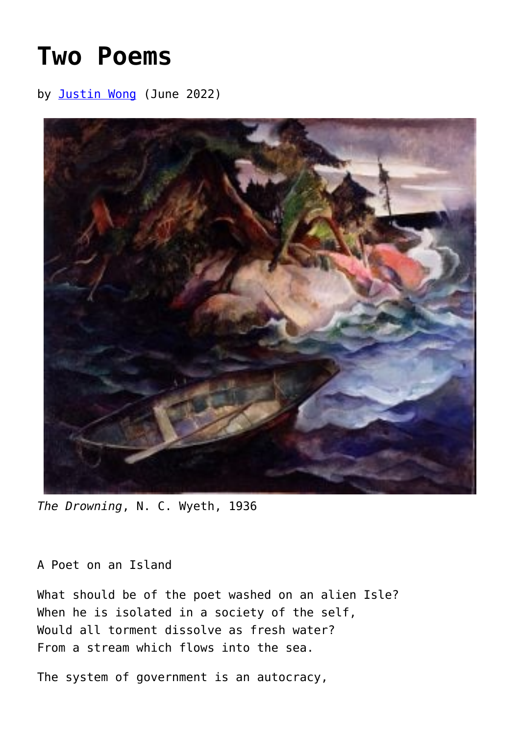## **[Two Poems](https://www.newenglishreview.org/articles/two-poems-83/)**

by [Justin Wong](https://www.newenglishreview.org/authors/justin-wong/) (June 2022)



*The Drowning*, N. C. Wyeth, 1936

## A Poet on an Island

What should be of the poet washed on an alien Isle? When he is isolated in a society of the self, Would all torment dissolve as fresh water? From a stream which flows into the sea.

The system of government is an autocracy,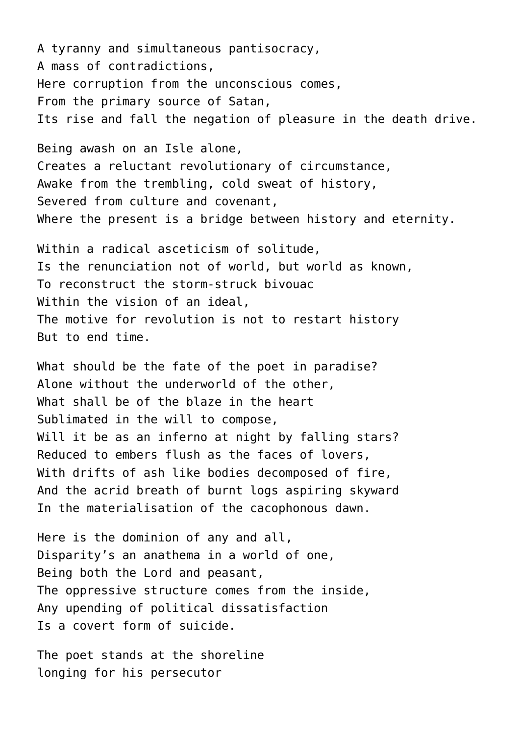A tyranny and simultaneous pantisocracy, A mass of contradictions, Here corruption from the unconscious comes, From the primary source of Satan, Its rise and fall the negation of pleasure in the death drive.

Being awash on an Isle alone, Creates a reluctant revolutionary of circumstance, Awake from the trembling, cold sweat of history, Severed from culture and covenant. Where the present is a bridge between history and eternity.

Within a radical asceticism of solitude, Is the renunciation not of world, but world as known, To reconstruct the storm-struck bivouac Within the vision of an ideal. The motive for revolution is not to restart history But to end time.

What should be the fate of the poet in paradise? Alone without the underworld of the other, What shall be of the blaze in the heart Sublimated in the will to compose, Will it be as an inferno at night by falling stars? Reduced to embers flush as the faces of lovers, With drifts of ash like bodies decomposed of fire, And the acrid breath of burnt logs aspiring skyward In the materialisation of the cacophonous dawn.

Here is the dominion of any and all, Disparity's an anathema in a world of one, Being both the Lord and peasant, The oppressive structure comes from the inside, Any upending of political dissatisfaction Is a covert form of suicide.

The poet stands at the shoreline longing for his persecutor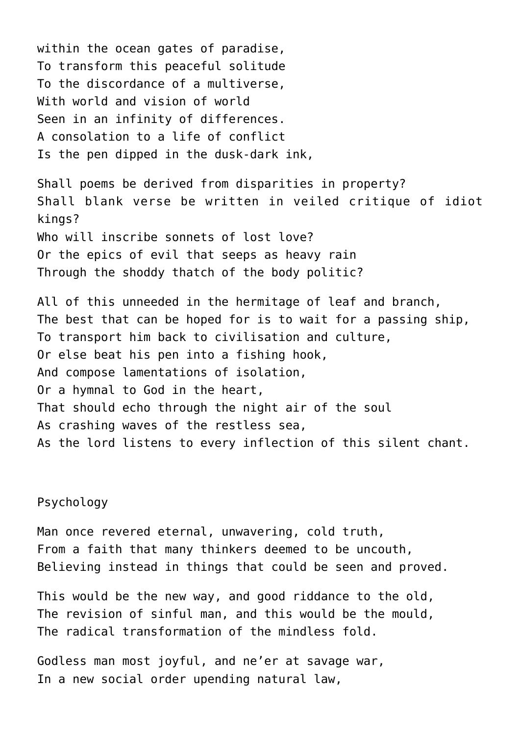within the ocean gates of paradise, To transform this peaceful solitude To the discordance of a multiverse, With world and vision of world Seen in an infinity of differences. A consolation to a life of conflict Is the pen dipped in the dusk-dark ink, Shall poems be derived from disparities in property? Shall blank verse be written in veiled critique of idiot kings? Who will inscribe sonnets of lost love? Or the epics of evil that seeps as heavy rain Through the shoddy thatch of the body politic? All of this unneeded in the hermitage of leaf and branch, The best that can be hoped for is to wait for a passing ship, To transport him back to civilisation and culture,

Psychology

Man once revered eternal, unwavering, cold truth, From a faith that many thinkers deemed to be uncouth, Believing instead in things that could be seen and proved.

As the lord listens to every inflection of this silent chant.

This would be the new way, and good riddance to the old, The revision of sinful man, and this would be the mould, The radical transformation of the mindless fold.

Godless man most joyful, and ne'er at savage war, In a new social order upending natural law,

Or else beat his pen into a fishing hook,

That should echo through the night air of the soul

And compose lamentations of isolation,

As crashing waves of the restless sea,

Or a hymnal to God in the heart,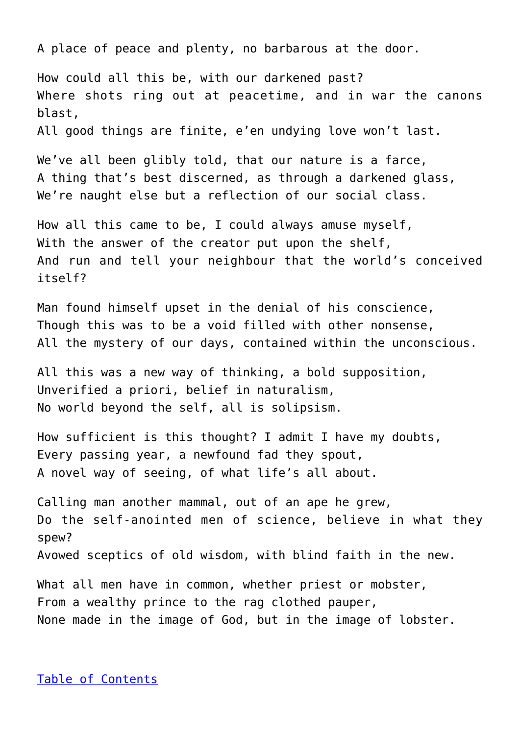A place of peace and plenty, no barbarous at the door.

How could all this be, with our darkened past? Where shots ring out at peacetime, and in war the canons blast, All good things are finite, e'en undying love won't last.

We've all been glibly told, that our nature is a farce, A thing that's best discerned, as through a darkened glass, We're naught else but a reflection of our social class.

How all this came to be, I could always amuse myself, With the answer of the creator put upon the shelf, And run and tell your neighbour that the world's conceived itself?

Man found himself upset in the denial of his conscience, Though this was to be a void filled with other nonsense, All the mystery of our days, contained within the unconscious.

All this was a new way of thinking, a bold supposition, Unverified a priori, belief in naturalism, No world beyond the self, all is solipsism.

How sufficient is this thought? I admit I have my doubts, Every passing year, a newfound fad they spout, A novel way of seeing, of what life's all about.

Calling man another mammal, out of an ape he grew, Do the self-anointed men of science, believe in what they spew? Avowed sceptics of old wisdom, with blind faith in the new.

What all men have in common, whether priest or mobster, From a wealthy prince to the rag clothed pauper, None made in the image of God, but in the image of lobster.